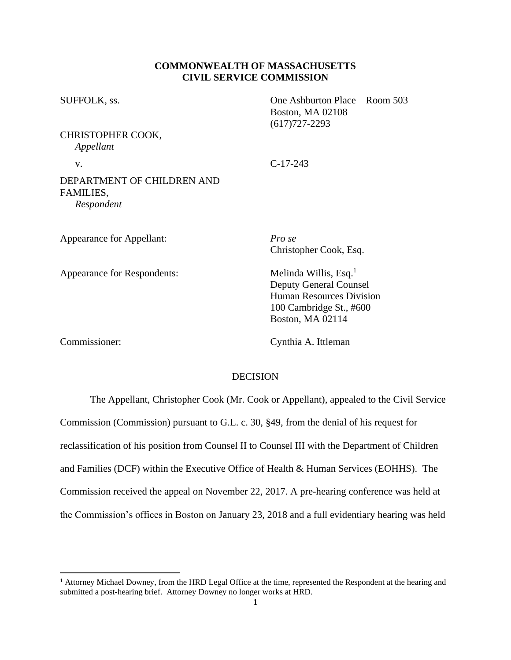## **COMMONWEALTH OF MASSACHUSETTS CIVIL SERVICE COMMISSION**

| SUFFOLK, ss.<br>CHRISTOPHER COOK,<br>Appellant        | One Ashburton Place – Room 503<br>Boston, MA 02108<br>$(617)727 - 2293$                                                                       |
|-------------------------------------------------------|-----------------------------------------------------------------------------------------------------------------------------------------------|
|                                                       |                                                                                                                                               |
| DEPARTMENT OF CHILDREN AND<br>FAMILIES,<br>Respondent |                                                                                                                                               |
| Appearance for Appellant:                             | Pro se<br>Christopher Cook, Esq.                                                                                                              |
| Appearance for Respondents:                           | Melinda Willis, Esq. <sup>1</sup><br><b>Deputy General Counsel</b><br>Human Resources Division<br>100 Cambridge St., #600<br>Boston, MA 02114 |

Commissioner: Cynthia A. Ittleman

# **DECISION**

The Appellant, Christopher Cook (Mr. Cook or Appellant), appealed to the Civil Service Commission (Commission) pursuant to G.L. c. 30, §49, from the denial of his request for reclassification of his position from Counsel II to Counsel III with the Department of Children and Families (DCF) within the Executive Office of Health & Human Services (EOHHS). The Commission received the appeal on November 22, 2017. A pre-hearing conference was held at the Commission's offices in Boston on January 23, 2018 and a full evidentiary hearing was held

<sup>&</sup>lt;sup>1</sup> Attorney Michael Downey, from the HRD Legal Office at the time, represented the Respondent at the hearing and submitted a post-hearing brief. Attorney Downey no longer works at HRD.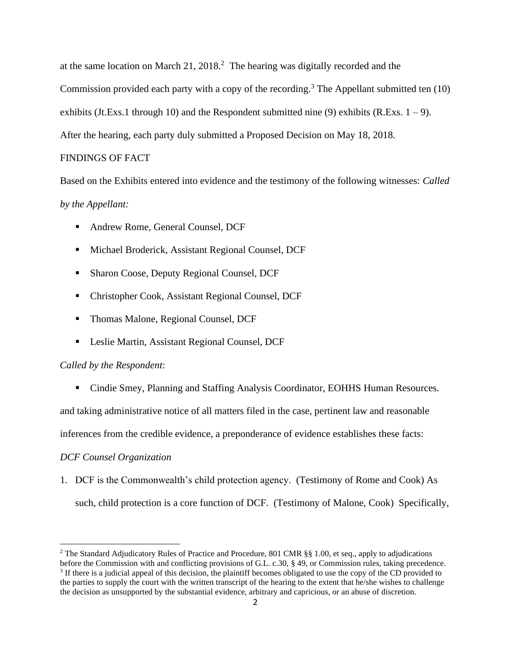at the same location on March 21,  $2018<sup>2</sup>$ . The hearing was digitally recorded and the Commission provided each party with a copy of the recording. <sup>3</sup> The Appellant submitted ten (10) exhibits (Jt.Exs.1 through 10) and the Respondent submitted nine  $(9)$  exhibits (R.Exs. 1 – 9). After the hearing, each party duly submitted a Proposed Decision on May 18, 2018.

### FINDINGS OF FACT

Based on the Exhibits entered into evidence and the testimony of the following witnesses: *Called by the Appellant:* 

- Andrew Rome, General Counsel, DCF
- Michael Broderick, Assistant Regional Counsel, DCF
- Sharon Coose, Deputy Regional Counsel, DCF
- Christopher Cook, Assistant Regional Counsel, DCF
- Thomas Malone, Regional Counsel, DCF
- Leslie Martin, Assistant Regional Counsel, DCF

#### *Called by the Respondent*:

■ Cindie Smey, Planning and Staffing Analysis Coordinator, EOHHS Human Resources.

and taking administrative notice of all matters filed in the case, pertinent law and reasonable

inferences from the credible evidence, a preponderance of evidence establishes these facts:

### *DCF Counsel Organization*

1. DCF is the Commonwealth's child protection agency. (Testimony of Rome and Cook) As such, child protection is a core function of DCF. (Testimony of Malone, Cook) Specifically,

<sup>&</sup>lt;sup>2</sup> The Standard Adjudicatory Rules of Practice and Procedure, 801 CMR §§ 1.00, et seq., apply to adjudications before the Commission with and conflicting provisions of G.L. c.30, § 49, or Commission rules, taking precedence. <sup>3</sup> If there is a judicial appeal of this decision, the plaintiff becomes obligated to use the copy of the CD provided to the parties to supply the court with the written transcript of the hearing to the extent that he/she wishes to challenge the decision as unsupported by the substantial evidence, arbitrary and capricious, or an abuse of discretion.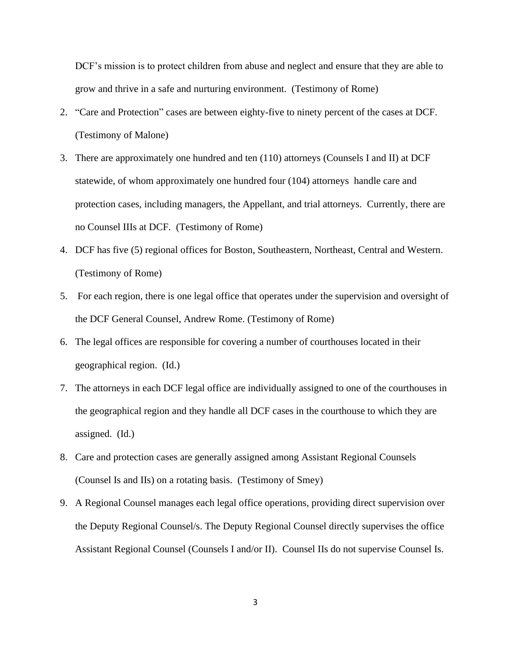DCF's mission is to protect children from abuse and neglect and ensure that they are able to grow and thrive in a safe and nurturing environment. (Testimony of Rome)

- 2. "Care and Protection" cases are between eighty-five to ninety percent of the cases at DCF. (Testimony of Malone)
- 3. There are approximately one hundred and ten (110) attorneys (Counsels I and II) at DCF statewide, of whom approximately one hundred four (104) attorneys handle care and protection cases, including managers, the Appellant, and trial attorneys. Currently, there are no Counsel IIIs at DCF. (Testimony of Rome)
- 4. DCF has five (5) regional offices for Boston, Southeastern, Northeast, Central and Western. (Testimony of Rome)
- 5. For each region, there is one legal office that operates under the supervision and oversight of the DCF General Counsel, Andrew Rome. (Testimony of Rome)
- 6. The legal offices are responsible for covering a number of courthouses located in their geographical region. (Id.)
- 7. The attorneys in each DCF legal office are individually assigned to one of the courthouses in the geographical region and they handle all DCF cases in the courthouse to which they are assigned. (Id.)
- 8. Care and protection cases are generally assigned among Assistant Regional Counsels (Counsel Is and IIs) on a rotating basis. (Testimony of Smey)
- 9. A Regional Counsel manages each legal office operations, providing direct supervision over the Deputy Regional Counsel/s. The Deputy Regional Counsel directly supervises the office Assistant Regional Counsel (Counsels I and/or II). Counsel IIs do not supervise Counsel Is.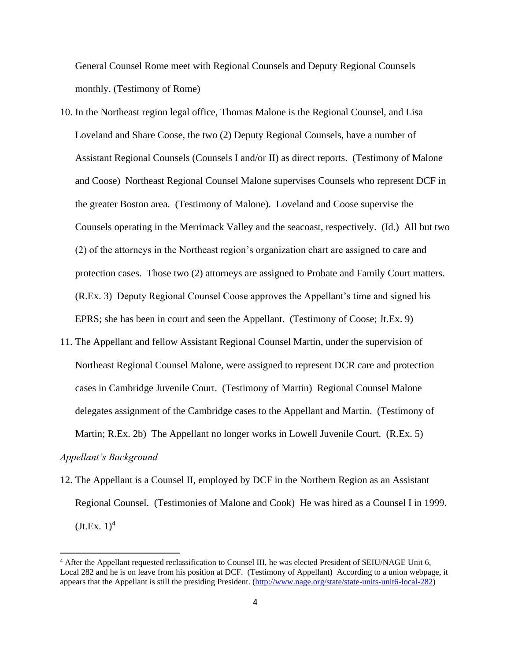General Counsel Rome meet with Regional Counsels and Deputy Regional Counsels monthly. (Testimony of Rome)

- 10. In the Northeast region legal office, Thomas Malone is the Regional Counsel, and Lisa Loveland and Share Coose, the two (2) Deputy Regional Counsels, have a number of Assistant Regional Counsels (Counsels I and/or II) as direct reports. (Testimony of Malone and Coose) Northeast Regional Counsel Malone supervises Counsels who represent DCF in the greater Boston area. (Testimony of Malone). Loveland and Coose supervise the Counsels operating in the Merrimack Valley and the seacoast, respectively. (Id.) All but two (2) of the attorneys in the Northeast region's organization chart are assigned to care and protection cases. Those two (2) attorneys are assigned to Probate and Family Court matters. (R.Ex. 3) Deputy Regional Counsel Coose approves the Appellant's time and signed his EPRS; she has been in court and seen the Appellant. (Testimony of Coose; Jt.Ex. 9)
- 11. The Appellant and fellow Assistant Regional Counsel Martin, under the supervision of Northeast Regional Counsel Malone, were assigned to represent DCR care and protection cases in Cambridge Juvenile Court. (Testimony of Martin) Regional Counsel Malone delegates assignment of the Cambridge cases to the Appellant and Martin. (Testimony of Martin; R.Ex. 2b) The Appellant no longer works in Lowell Juvenile Court. (R.Ex. 5)

# *Appellant's Background*

12. The Appellant is a Counsel II, employed by DCF in the Northern Region as an Assistant Regional Counsel. (Testimonies of Malone and Cook) He was hired as a Counsel I in 1999.  $(Jt.Ex. 1)^4$ 

<sup>4</sup> After the Appellant requested reclassification to Counsel III, he was elected President of SEIU/NAGE Unit 6, Local 282 and he is on leave from his position at DCF. (Testimony of Appellant) According to a union webpage, it appears that the Appellant is still the presiding President. [\(http://www.nage.org/state/state-units-unit6-local-282\)](http://www.nage.org/state/state-units-unit6-local-282)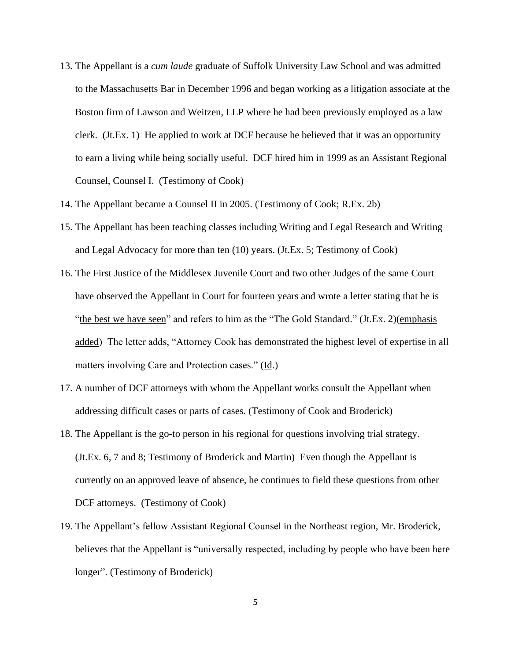- 13. The Appellant is a *cum laude* graduate of Suffolk University Law School and was admitted to the Massachusetts Bar in December 1996 and began working as a litigation associate at the Boston firm of Lawson and Weitzen, LLP where he had been previously employed as a law clerk. (Jt.Ex. 1) He applied to work at DCF because he believed that it was an opportunity to earn a living while being socially useful. DCF hired him in 1999 as an Assistant Regional Counsel, Counsel I. (Testimony of Cook)
- 14. The Appellant became a Counsel II in 2005. (Testimony of Cook; R.Ex. 2b)
- 15. The Appellant has been teaching classes including Writing and Legal Research and Writing and Legal Advocacy for more than ten (10) years. (Jt.Ex. 5; Testimony of Cook)
- 16. The First Justice of the Middlesex Juvenile Court and two other Judges of the same Court have observed the Appellant in Court for fourteen years and wrote a letter stating that he is "the best we have seen" and refers to him as the "The Gold Standard." (Jt.Ex. 2)(emphasis added) The letter adds, "Attorney Cook has demonstrated the highest level of expertise in all matters involving Care and Protection cases." (Id.)
- 17. A number of DCF attorneys with whom the Appellant works consult the Appellant when addressing difficult cases or parts of cases. (Testimony of Cook and Broderick)
- 18. The Appellant is the go-to person in his regional for questions involving trial strategy. (Jt.Ex. 6, 7 and 8; Testimony of Broderick and Martin) Even though the Appellant is currently on an approved leave of absence, he continues to field these questions from other DCF attorneys. (Testimony of Cook)
- 19. The Appellant's fellow Assistant Regional Counsel in the Northeast region, Mr. Broderick, believes that the Appellant is "universally respected, including by people who have been here longer". (Testimony of Broderick)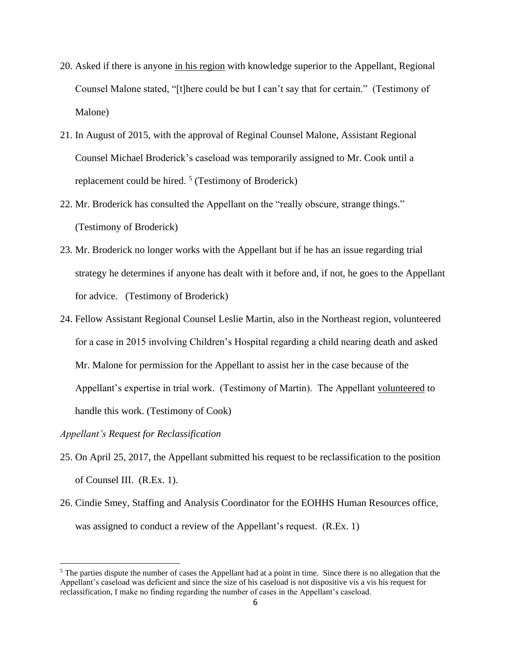- 20. Asked if there is anyone in his region with knowledge superior to the Appellant, Regional Counsel Malone stated, "[t]here could be but I can't say that for certain." (Testimony of Malone)
- 21. In August of 2015, with the approval of Reginal Counsel Malone, Assistant Regional Counsel Michael Broderick's caseload was temporarily assigned to Mr. Cook until a replacement could be hired. 5 (Testimony of Broderick)
- 22. Mr. Broderick has consulted the Appellant on the "really obscure, strange things." (Testimony of Broderick)
- 23. Mr. Broderick no longer works with the Appellant but if he has an issue regarding trial strategy he determines if anyone has dealt with it before and, if not, he goes to the Appellant for advice. (Testimony of Broderick)
- 24. Fellow Assistant Regional Counsel Leslie Martin, also in the Northeast region, volunteered for a case in 2015 involving Children's Hospital regarding a child nearing death and asked Mr. Malone for permission for the Appellant to assist her in the case because of the Appellant's expertise in trial work. (Testimony of Martin). The Appellant volunteered to handle this work. (Testimony of Cook)

*Appellant's Request for Reclassification*

- 25. On April 25, 2017, the Appellant submitted his request to be reclassification to the position of Counsel III. (R.Ex. 1).
- 26. Cindie Smey, Staffing and Analysis Coordinator for the EOHHS Human Resources office, was assigned to conduct a review of the Appellant's request. (R.Ex. 1)

<sup>&</sup>lt;sup>5</sup> The parties dispute the number of cases the Appellant had at a point in time. Since there is no allegation that the Appellant's caseload was deficient and since the size of his caseload is not dispositive vis a vis his request for reclassification, I make no finding regarding the number of cases in the Appellant's caseload.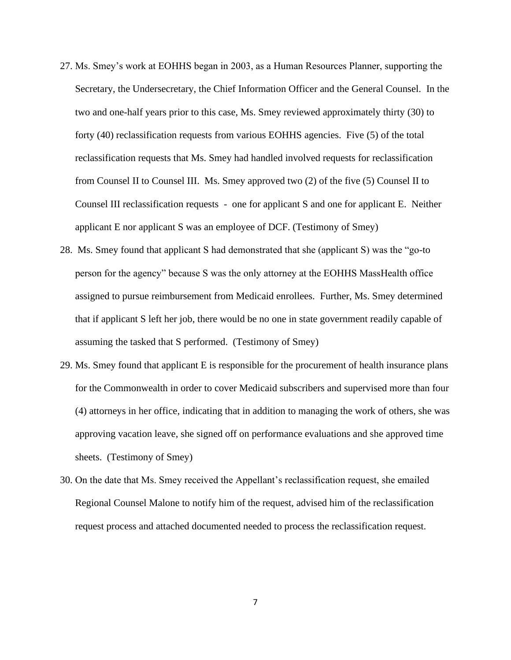- 27. Ms. Smey's work at EOHHS began in 2003, as a Human Resources Planner, supporting the Secretary, the Undersecretary, the Chief Information Officer and the General Counsel. In the two and one-half years prior to this case, Ms. Smey reviewed approximately thirty (30) to forty (40) reclassification requests from various EOHHS agencies. Five (5) of the total reclassification requests that Ms. Smey had handled involved requests for reclassification from Counsel II to Counsel III. Ms. Smey approved two (2) of the five (5) Counsel II to Counsel III reclassification requests - one for applicant S and one for applicant E. Neither applicant E nor applicant S was an employee of DCF. (Testimony of Smey)
- 28. Ms. Smey found that applicant S had demonstrated that she (applicant S) was the "go-to person for the agency" because S was the only attorney at the EOHHS MassHealth office assigned to pursue reimbursement from Medicaid enrollees. Further, Ms. Smey determined that if applicant S left her job, there would be no one in state government readily capable of assuming the tasked that S performed. (Testimony of Smey)
- 29. Ms. Smey found that applicant E is responsible for the procurement of health insurance plans for the Commonwealth in order to cover Medicaid subscribers and supervised more than four (4) attorneys in her office, indicating that in addition to managing the work of others, she was approving vacation leave, she signed off on performance evaluations and she approved time sheets. (Testimony of Smey)
- 30. On the date that Ms. Smey received the Appellant's reclassification request, she emailed Regional Counsel Malone to notify him of the request, advised him of the reclassification request process and attached documented needed to process the reclassification request.

7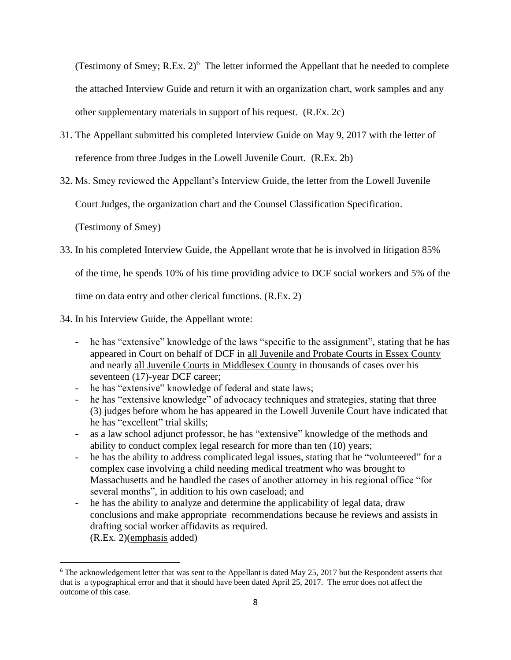(Testimony of Smey; R.Ex.  $2)^6$  The letter informed the Appellant that he needed to complete the attached Interview Guide and return it with an organization chart, work samples and any other supplementary materials in support of his request. (R.Ex. 2c)

- 31. The Appellant submitted his completed Interview Guide on May 9, 2017 with the letter of reference from three Judges in the Lowell Juvenile Court. (R.Ex. 2b)
- 32. Ms. Smey reviewed the Appellant's Interview Guide, the letter from the Lowell Juvenile

Court Judges, the organization chart and the Counsel Classification Specification.

(Testimony of Smey)

33. In his completed Interview Guide, the Appellant wrote that he is involved in litigation 85%

of the time, he spends 10% of his time providing advice to DCF social workers and 5% of the

time on data entry and other clerical functions. (R.Ex. 2)

- 34. In his Interview Guide, the Appellant wrote:
	- he has "extensive" knowledge of the laws "specific to the assignment", stating that he has appeared in Court on behalf of DCF in all Juvenile and Probate Courts in Essex County and nearly all Juvenile Courts in Middlesex County in thousands of cases over his seventeen (17)-year DCF career;
	- he has "extensive" knowledge of federal and state laws;
	- he has "extensive knowledge" of advocacy techniques and strategies, stating that three (3) judges before whom he has appeared in the Lowell Juvenile Court have indicated that he has "excellent" trial skills;
	- as a law school adjunct professor, he has "extensive" knowledge of the methods and ability to conduct complex legal research for more than ten (10) years;
	- he has the ability to address complicated legal issues, stating that he "volunteered" for a complex case involving a child needing medical treatment who was brought to Massachusetts and he handled the cases of another attorney in his regional office "for several months", in addition to his own caseload; and
	- he has the ability to analyze and determine the applicability of legal data, draw conclusions and make appropriate recommendations because he reviews and assists in drafting social worker affidavits as required. (R.Ex. 2)(emphasis added)

<sup>&</sup>lt;sup>6</sup> The acknowledgement letter that was sent to the Appellant is dated May 25, 2017 but the Respondent asserts that that is a typographical error and that it should have been dated April 25, 2017. The error does not affect the outcome of this case.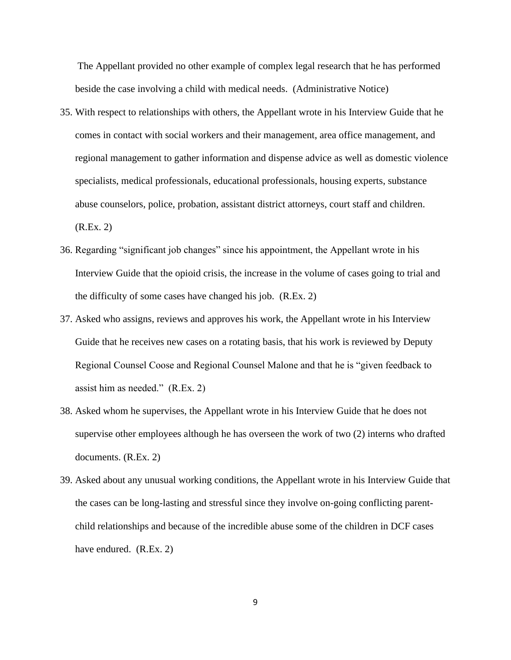The Appellant provided no other example of complex legal research that he has performed beside the case involving a child with medical needs. (Administrative Notice)

- 35. With respect to relationships with others, the Appellant wrote in his Interview Guide that he comes in contact with social workers and their management, area office management, and regional management to gather information and dispense advice as well as domestic violence specialists, medical professionals, educational professionals, housing experts, substance abuse counselors, police, probation, assistant district attorneys, court staff and children. (R.Ex. 2)
- 36. Regarding "significant job changes" since his appointment, the Appellant wrote in his Interview Guide that the opioid crisis, the increase in the volume of cases going to trial and the difficulty of some cases have changed his job. (R.Ex. 2)
- 37. Asked who assigns, reviews and approves his work, the Appellant wrote in his Interview Guide that he receives new cases on a rotating basis, that his work is reviewed by Deputy Regional Counsel Coose and Regional Counsel Malone and that he is "given feedback to assist him as needed." (R.Ex. 2)
- 38. Asked whom he supervises, the Appellant wrote in his Interview Guide that he does not supervise other employees although he has overseen the work of two (2) interns who drafted documents. (R.Ex. 2)
- 39. Asked about any unusual working conditions, the Appellant wrote in his Interview Guide that the cases can be long-lasting and stressful since they involve on-going conflicting parentchild relationships and because of the incredible abuse some of the children in DCF cases have endured. (R.Ex. 2)

9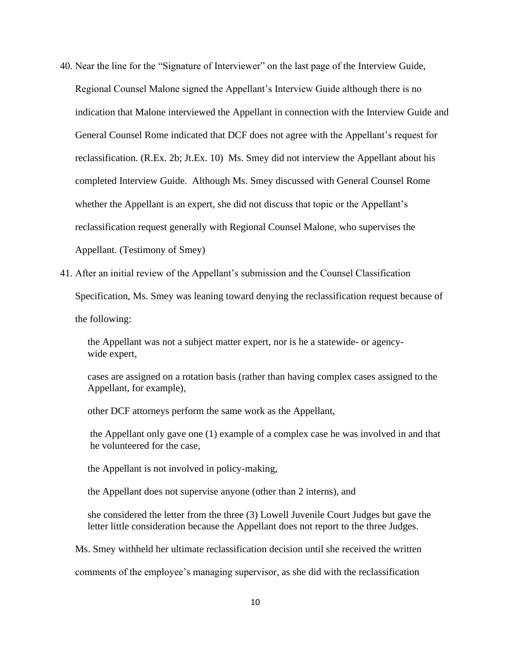- 40. Near the line for the "Signature of Interviewer" on the last page of the Interview Guide, Regional Counsel Malone signed the Appellant's Interview Guide although there is no indication that Malone interviewed the Appellant in connection with the Interview Guide and General Counsel Rome indicated that DCF does not agree with the Appellant's request for reclassification. (R.Ex. 2b; Jt.Ex. 10) Ms. Smey did not interview the Appellant about his completed Interview Guide. Although Ms. Smey discussed with General Counsel Rome whether the Appellant is an expert, she did not discuss that topic or the Appellant's reclassification request generally with Regional Counsel Malone, who supervises the Appellant. (Testimony of Smey)
- 41. After an initial review of the Appellant's submission and the Counsel Classification Specification, Ms. Smey was leaning toward denying the reclassification request because of the following:

 the Appellant was not a subject matter expert, nor is he a statewide- or agency wide expert,

 cases are assigned on a rotation basis (rather than having complex cases assigned to the Appellant, for example),

other DCF attorneys perform the same work as the Appellant,

 the Appellant only gave one (1) example of a complex case he was involved in and that he volunteered for the case,

the Appellant is not involved in policy-making,

the Appellant does not supervise anyone (other than 2 interns), and

 she considered the letter from the three (3) Lowell Juvenile Court Judges but gave the letter little consideration because the Appellant does not report to the three Judges.

Ms. Smey withheld her ultimate reclassification decision until she received the written

comments of the employee's managing supervisor, as she did with the reclassification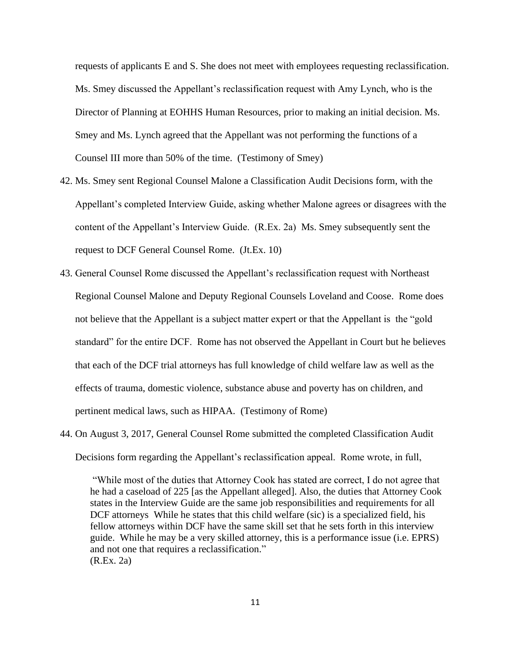requests of applicants E and S. She does not meet with employees requesting reclassification. Ms. Smey discussed the Appellant's reclassification request with Amy Lynch, who is the Director of Planning at EOHHS Human Resources, prior to making an initial decision. Ms. Smey and Ms. Lynch agreed that the Appellant was not performing the functions of a Counsel III more than 50% of the time. (Testimony of Smey)

- 42. Ms. Smey sent Regional Counsel Malone a Classification Audit Decisions form, with the Appellant's completed Interview Guide, asking whether Malone agrees or disagrees with the content of the Appellant's Interview Guide. (R.Ex. 2a) Ms. Smey subsequently sent the request to DCF General Counsel Rome. (Jt.Ex. 10)
- 43. General Counsel Rome discussed the Appellant's reclassification request with Northeast Regional Counsel Malone and Deputy Regional Counsels Loveland and Coose. Rome does not believe that the Appellant is a subject matter expert or that the Appellant is the "gold standard" for the entire DCF. Rome has not observed the Appellant in Court but he believes that each of the DCF trial attorneys has full knowledge of child welfare law as well as the effects of trauma, domestic violence, substance abuse and poverty has on children, and pertinent medical laws, such as HIPAA. (Testimony of Rome)
- 44. On August 3, 2017, General Counsel Rome submitted the completed Classification Audit Decisions form regarding the Appellant's reclassification appeal. Rome wrote, in full,

"While most of the duties that Attorney Cook has stated are correct, I do not agree that he had a caseload of 225 [as the Appellant alleged]. Also, the duties that Attorney Cook states in the Interview Guide are the same job responsibilities and requirements for all DCF attorneys While he states that this child welfare (sic) is a specialized field, his fellow attorneys within DCF have the same skill set that he sets forth in this interview guide. While he may be a very skilled attorney, this is a performance issue (i.e. EPRS) and not one that requires a reclassification." (R.Ex. 2a)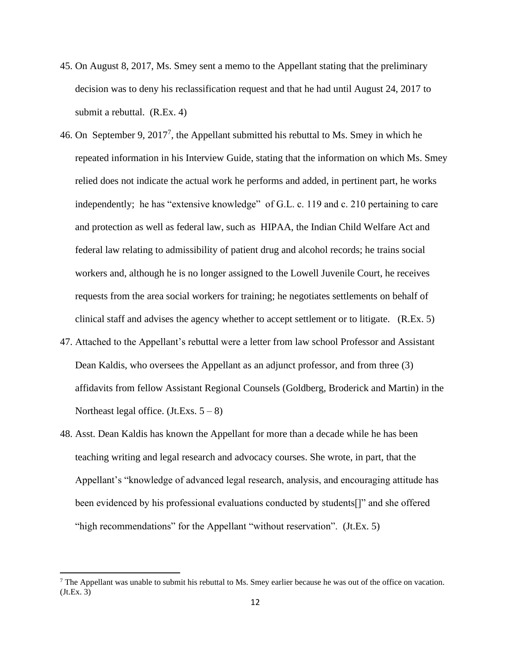- 45. On August 8, 2017, Ms. Smey sent a memo to the Appellant stating that the preliminary decision was to deny his reclassification request and that he had until August 24, 2017 to submit a rebuttal. (R.Ex. 4)
- 46. On September 9, 2017<sup>7</sup>, the Appellant submitted his rebuttal to Ms. Smey in which he repeated information in his Interview Guide, stating that the information on which Ms. Smey relied does not indicate the actual work he performs and added, in pertinent part, he works independently; he has "extensive knowledge" of G.L. c. 119 and c. 210 pertaining to care and protection as well as federal law, such as HIPAA, the Indian Child Welfare Act and federal law relating to admissibility of patient drug and alcohol records; he trains social workers and, although he is no longer assigned to the Lowell Juvenile Court, he receives requests from the area social workers for training; he negotiates settlements on behalf of clinical staff and advises the agency whether to accept settlement or to litigate. (R.Ex. 5)
- 47. Attached to the Appellant's rebuttal were a letter from law school Professor and Assistant Dean Kaldis, who oversees the Appellant as an adjunct professor, and from three (3) affidavits from fellow Assistant Regional Counsels (Goldberg, Broderick and Martin) in the Northeast legal office. (Jt.Exs.  $5 - 8$ )
- 48. Asst. Dean Kaldis has known the Appellant for more than a decade while he has been teaching writing and legal research and advocacy courses. She wrote, in part, that the Appellant's "knowledge of advanced legal research, analysis, and encouraging attitude has been evidenced by his professional evaluations conducted by students[]" and she offered "high recommendations" for the Appellant "without reservation". (Jt.Ex. 5)

<sup>&</sup>lt;sup>7</sup> The Appellant was unable to submit his rebuttal to Ms. Smey earlier because he was out of the office on vacation. (Jt.Ex. 3)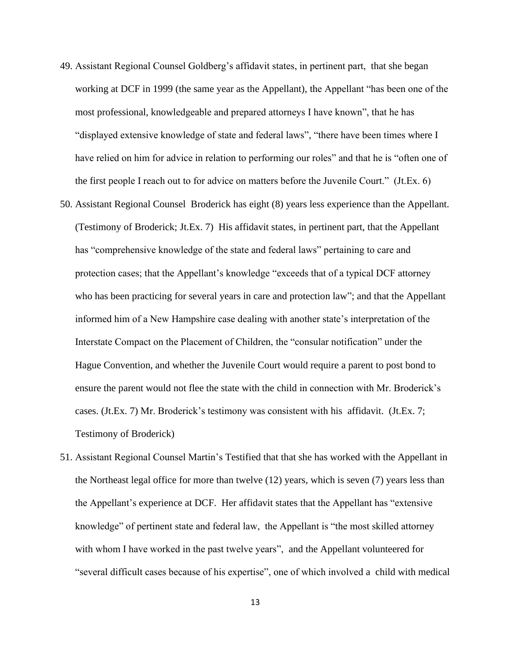- 49. Assistant Regional Counsel Goldberg's affidavit states, in pertinent part, that she began working at DCF in 1999 (the same year as the Appellant), the Appellant "has been one of the most professional, knowledgeable and prepared attorneys I have known", that he has "displayed extensive knowledge of state and federal laws", "there have been times where I have relied on him for advice in relation to performing our roles" and that he is "often one of the first people I reach out to for advice on matters before the Juvenile Court." (Jt.Ex. 6)
- 50. Assistant Regional Counsel Broderick has eight (8) years less experience than the Appellant. (Testimony of Broderick; Jt.Ex. 7) His affidavit states, in pertinent part, that the Appellant has "comprehensive knowledge of the state and federal laws" pertaining to care and protection cases; that the Appellant's knowledge "exceeds that of a typical DCF attorney who has been practicing for several years in care and protection law"; and that the Appellant informed him of a New Hampshire case dealing with another state's interpretation of the Interstate Compact on the Placement of Children, the "consular notification" under the Hague Convention, and whether the Juvenile Court would require a parent to post bond to ensure the parent would not flee the state with the child in connection with Mr. Broderick's cases. (Jt.Ex. 7) Mr. Broderick's testimony was consistent with his affidavit. (Jt.Ex. 7; Testimony of Broderick)
- 51. Assistant Regional Counsel Martin's Testified that that she has worked with the Appellant in the Northeast legal office for more than twelve (12) years, which is seven (7) years less than the Appellant's experience at DCF. Her affidavit states that the Appellant has "extensive knowledge" of pertinent state and federal law, the Appellant is "the most skilled attorney with whom I have worked in the past twelve years", and the Appellant volunteered for "several difficult cases because of his expertise", one of which involved a child with medical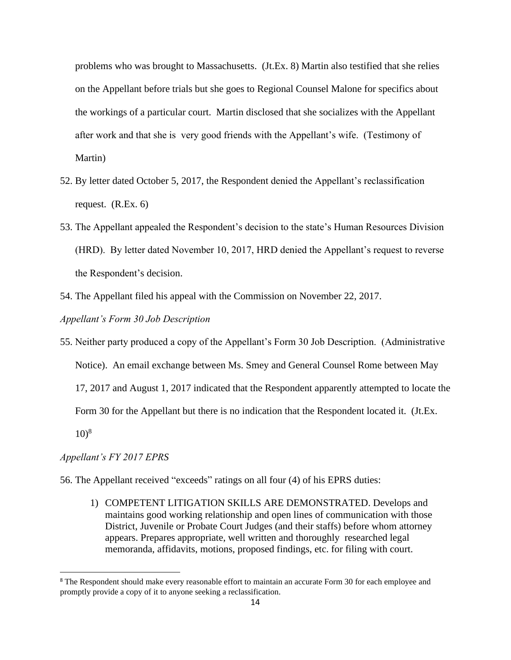problems who was brought to Massachusetts. (Jt.Ex. 8) Martin also testified that she relies on the Appellant before trials but she goes to Regional Counsel Malone for specifics about the workings of a particular court. Martin disclosed that she socializes with the Appellant after work and that she is very good friends with the Appellant's wife. (Testimony of Martin)

- 52. By letter dated October 5, 2017, the Respondent denied the Appellant's reclassification request. (R.Ex. 6)
- 53. The Appellant appealed the Respondent's decision to the state's Human Resources Division (HRD). By letter dated November 10, 2017, HRD denied the Appellant's request to reverse the Respondent's decision.
- 54. The Appellant filed his appeal with the Commission on November 22, 2017.

*Appellant's Form 30 Job Description*

55. Neither party produced a copy of the Appellant's Form 30 Job Description. (Administrative Notice). An email exchange between Ms. Smey and General Counsel Rome between May 17, 2017 and August 1, 2017 indicated that the Respondent apparently attempted to locate the Form 30 for the Appellant but there is no indication that the Respondent located it. (Jt.Ex.  $10^{8}$ 

#### *Appellant's FY 2017 EPRS*

- 56. The Appellant received "exceeds" ratings on all four (4) of his EPRS duties:
	- 1) COMPETENT LITIGATION SKILLS ARE DEMONSTRATED. Develops and maintains good working relationship and open lines of communication with those District, Juvenile or Probate Court Judges (and their staffs) before whom attorney appears. Prepares appropriate, well written and thoroughly researched legal memoranda, affidavits, motions, proposed findings, etc. for filing with court.

<sup>&</sup>lt;sup>8</sup> The Respondent should make every reasonable effort to maintain an accurate Form 30 for each employee and promptly provide a copy of it to anyone seeking a reclassification.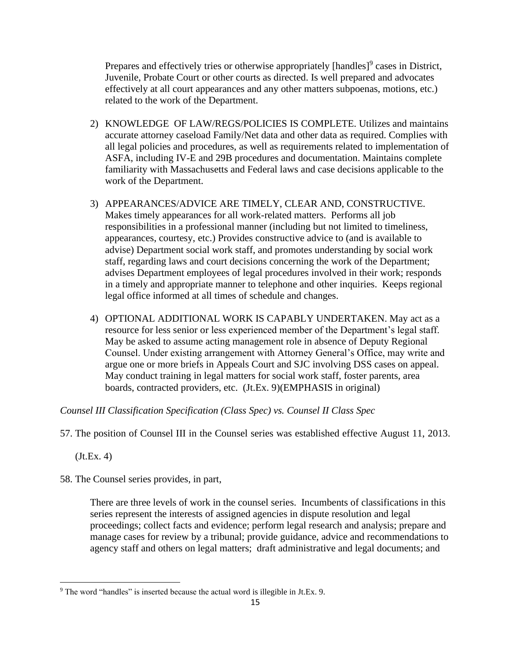Prepares and effectively tries or otherwise appropriately [handles]<sup>9</sup> cases in District, Juvenile, Probate Court or other courts as directed. Is well prepared and advocates effectively at all court appearances and any other matters subpoenas, motions, etc.) related to the work of the Department.

- 2) KNOWLEDGE OF LAW/REGS/POLICIES IS COMPLETE. Utilizes and maintains accurate attorney caseload Family/Net data and other data as required. Complies with all legal policies and procedures, as well as requirements related to implementation of ASFA, including IV-E and 29B procedures and documentation. Maintains complete familiarity with Massachusetts and Federal laws and case decisions applicable to the work of the Department.
- 3) APPEARANCES/ADVICE ARE TIMELY, CLEAR AND, CONSTRUCTIVE. Makes timely appearances for all work-related matters. Performs all job responsibilities in a professional manner (including but not limited to timeliness, appearances, courtesy, etc.) Provides constructive advice to (and is available to advise) Department social work staff, and promotes understanding by social work staff, regarding laws and court decisions concerning the work of the Department; advises Department employees of legal procedures involved in their work; responds in a timely and appropriate manner to telephone and other inquiries. Keeps regional legal office informed at all times of schedule and changes.
- 4) OPTIONAL ADDITIONAL WORK IS CAPABLY UNDERTAKEN. May act as a resource for less senior or less experienced member of the Department's legal staff. May be asked to assume acting management role in absence of Deputy Regional Counsel. Under existing arrangement with Attorney General's Office, may write and argue one or more briefs in Appeals Court and SJC involving DSS cases on appeal. May conduct training in legal matters for social work staff, foster parents, area boards, contracted providers, etc. (Jt.Ex. 9)(EMPHASIS in original)

*Counsel III Classification Specification (Class Spec) vs. Counsel II Class Spec*

57. The position of Counsel III in the Counsel series was established effective August 11, 2013.

(Jt.Ex. 4)

58. The Counsel series provides, in part,

There are three levels of work in the counsel series. Incumbents of classifications in this series represent the interests of assigned agencies in dispute resolution and legal proceedings; collect facts and evidence; perform legal research and analysis; prepare and manage cases for review by a tribunal; provide guidance, advice and recommendations to agency staff and others on legal matters; draft administrative and legal documents; and

<sup>9</sup> The word "handles" is inserted because the actual word is illegible in Jt.Ex. 9.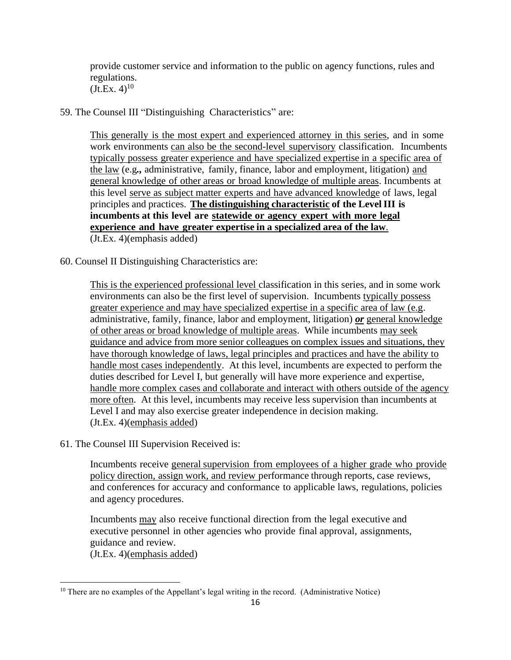provide customer service and information to the public on agency functions, rules and regulations.  $(Jt.Ex. 4)^{10}$ 

59. The Counsel III "Distinguishing Characteristics" are:

This generally is the most expert and experienced attorney in this series, and in some work environments can also be the second-level supervisory classification. Incumbents typically possess greater experience and have specialized expertise in a specific area of the law (e.g*.,* administrative, family, finance, labor and employment, litigation) and general knowledge of other areas or broad knowledge of multiple areas. Incumbents at this level serve as subject matter experts and have advanced knowledge of laws, legal principles and practices. **The distinguishing characteristic of the LevelIII is incumbents at this level are statewide or agency expert with more legal experience and have greater expertise in a specialized area of the law**. (Jt.Ex. 4)(emphasis added)

60. Counsel II Distinguishing Characteristics are:

This is the experienced professional level classification in this series, and in some work environments can also be the first level of supervision. Incumbents typically possess greater experience and may have specialized expertise in a specific area of law (e.g. administrative, family, finance, labor and employment, litigation) *or* general knowledge of other areas or broad knowledge of multiple areas. While incumbents may seek guidance and advice from more senior colleagues on complex issues and situations, they have thorough knowledge of laws, legal principles and practices and have the ability to handle most cases independently. At this level, incumbents are expected to perform the duties described for Level I, but generally will have more experience and expertise, handle more complex cases and collaborate and interact with others outside of the agency more often. At this level, incumbents may receive less supervision than incumbents at Level I and may also exercise greater independence in decision making. (Jt.Ex. 4)(emphasis added)

61. The Counsel III Supervision Received is:

Incumbents receive general supervision from employees of a higher grade who provide policy direction, assign work, and review performance through reports, case reviews, and conferences for accuracy and conformance to applicable laws, regulations, policies and agency procedures.

Incumbents may also receive functional direction from the legal executive and executive personnel in other agencies who provide final approval, assignments, guidance and review.

(Jt.Ex. 4)(emphasis added)

<sup>&</sup>lt;sup>10</sup> There are no examples of the Appellant's legal writing in the record. (Administrative Notice)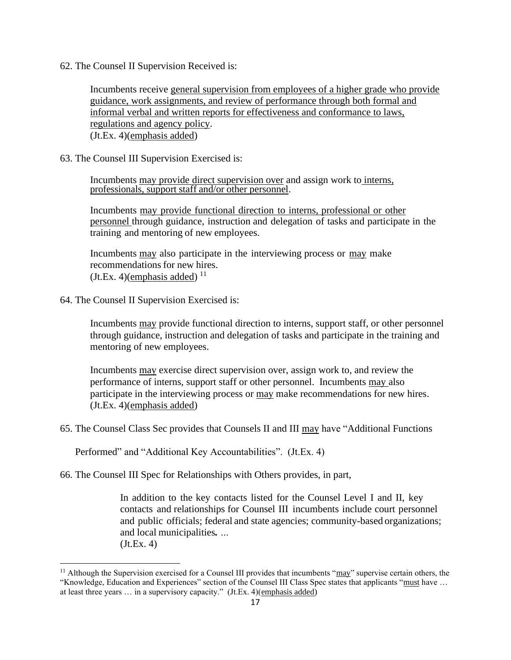62. The Counsel II Supervision Received is:

Incumbents receive general supervision from employees of a higher grade who provide guidance, work assignments, and review of performance through both formal and informal verbal and written reports for effectiveness and conformance to laws, regulations and agency policy. (Jt.Ex. 4)(emphasis added)

63. The Counsel III Supervision Exercised is:

Incumbents may provide direct supervision over and assign work to interns, professionals, support staff and/or other personnel.

Incumbents may provide functional direction to interns, professional or other personnel through guidance, instruction and delegation of tasks and participate in the training and mentoring of new employees.

Incumbents may also participate in the interviewing process or may make recommendations for new hires.  $(Jt.Ex. 4)$ (emphasis added)  $^{11}$ 

64. The Counsel II Supervision Exercised is:

Incumbents may provide functional direction to interns, support staff, or other personnel through guidance, instruction and delegation of tasks and participate in the training and mentoring of new employees.

Incumbents may exercise direct supervision over, assign work to, and review the performance of interns, support staff or other personnel. Incumbents may also participate in the interviewing process or may make recommendations for new hires. (Jt.Ex. 4)(emphasis added)

65. The Counsel Class Sec provides that Counsels II and III may have "Additional Functions

Performed" and "Additional Key Accountabilities". (Jt.Ex. 4)

66. The Counsel III Spec for Relationships with Others provides, in part,

In addition to the key contacts listed for the Counsel Level I and II, key contacts and relationships for Counsel III incumbents include court personnel and public officials; federal and state agencies; community-based organizations; and local municipalities*. …* (Jt.Ex. 4)

<sup>&</sup>lt;sup>11</sup> Although the Supervision exercised for a Counsel III provides that incumbents " $\frac{may}$ " supervise certain others, the "Knowledge, Education and Experiences" section of the Counsel III Class Spec states that applicants "must have … at least three years … in a supervisory capacity." (Jt.Ex. 4)(emphasis added)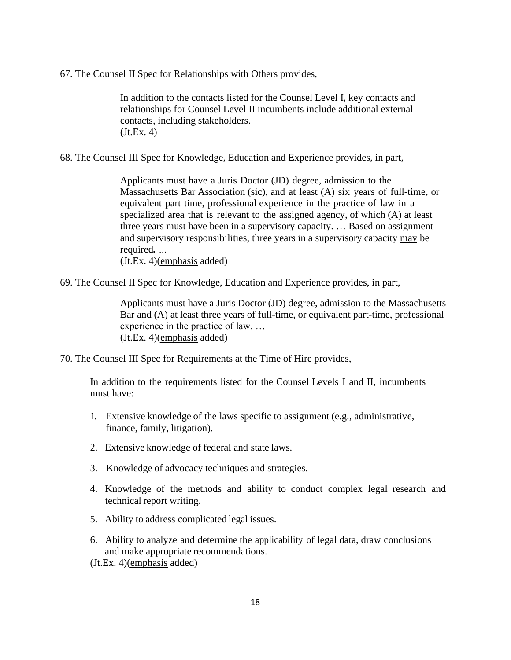67. The Counsel II Spec for Relationships with Others provides,

In addition to the contacts listed for the Counsel Level I, key contacts and relationships for Counsel Level II incumbents include additional external contacts, including stakeholders. (Jt.Ex. 4)

68. The Counsel III Spec for Knowledge, Education and Experience provides, in part,

Applicants must have a Juris Doctor (JD) degree, admission to the Massachusetts Bar Association (sic), and at least (A) six years of full-time, or equivalent part time, professional experience in the practice of law in a specialized area that is relevant to the assigned agency, of which (A) at least three years must have been in a supervisory capacity. … Based on assignment and supervisory responsibilities, three years in a supervisory capacity may be required*. …*

(Jt.Ex. 4)(emphasis added)

69. The Counsel II Spec for Knowledge, Education and Experience provides, in part,

Applicants must have a Juris Doctor (JD) degree, admission to the Massachusetts Bar and (A) at least three years of full-time, or equivalent part-time, professional experience in the practice of law. … (Jt.Ex. 4)(emphasis added)

70. The Counsel III Spec for Requirements at the Time of Hire provides,

In addition to the requirements listed for the Counsel Levels I and II, incumbents must have:

- 1. Extensive knowledge of the laws specific to assignment (e.g., administrative, finance, family, litigation).
- 2. Extensive knowledge of federal and state laws.
- 3. Knowledge of advocacy techniques and strategies.
- 4. Knowledge of the methods and ability to conduct complex legal research and technical report writing.
- 5. Ability to address complicated legal issues.
- 6. Ability to analyze and determine the applicability of legal data, draw conclusions and make appropriate recommendations.

(Jt.Ex. 4)(emphasis added)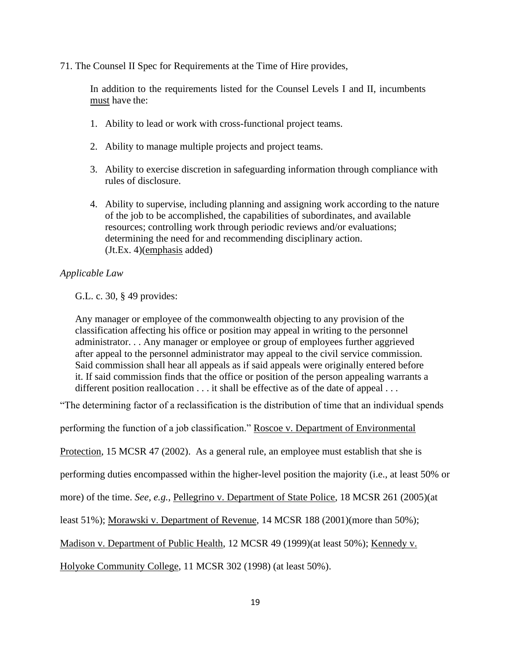71. The Counsel II Spec for Requirements at the Time of Hire provides,

In addition to the requirements listed for the Counsel Levels I and II, incumbents must have the:

- 1. Ability to lead or work with cross-functional project teams.
- 2. Ability to manage multiple projects and project teams.
- 3. Ability to exercise discretion in safeguarding information through compliance with rules of disclosure.
- 4. Ability to supervise, including planning and assigning work according to the nature of the job to be accomplished, the capabilities of subordinates, and available resources; controlling work through periodic reviews and/or evaluations; determining the need for and recommending disciplinary action. (Jt.Ex. 4)(emphasis added)

## *Applicable Law*

G.L. c. 30, § 49 provides:

Any manager or employee of the commonwealth objecting to any provision of the classification affecting his office or position may appeal in writing to the personnel administrator. . . Any manager or employee or group of employees further aggrieved after appeal to the personnel administrator may appeal to the civil service commission. Said commission shall hear all appeals as if said appeals were originally entered before it. If said commission finds that the office or position of the person appealing warrants a different position reallocation . . . it shall be effective as of the date of appeal . . .

"The determining factor of a reclassification is the distribution of time that an individual spends

performing the function of a job classification." Roscoe v. Department of Environmental

Protection, 15 MCSR 47 (2002). As a general rule, an employee must establish that she is

performing duties encompassed within the higher-level position the majority (i.e., at least 50% or

more) of the time. *See, e.g.,* Pellegrino v. Department of State Police, 18 MCSR 261 (2005)(at

least 51%); Morawski v. Department of Revenue, 14 MCSR 188 (2001)(more than 50%);

Madison v. Department of Public Health, 12 MCSR 49 (1999)(at least 50%); Kennedy v.

Holyoke Community College, 11 MCSR 302 (1998) (at least 50%).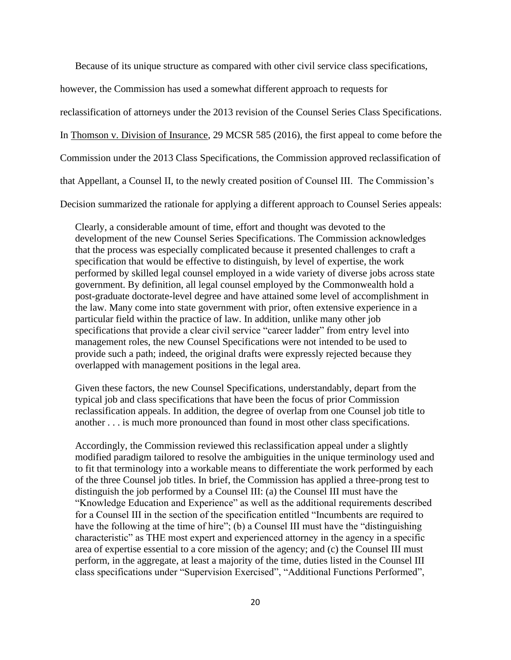Because of its unique structure as compared with other civil service class specifications,

however, the Commission has used a somewhat different approach to requests for

reclassification of attorneys under the 2013 revision of the Counsel Series Class Specifications.

In Thomson v. Division of Insurance, 29 MCSR 585 (2016), the first appeal to come before the

Commission under the 2013 Class Specifications, the Commission approved reclassification of

that Appellant, a Counsel II, to the newly created position of Counsel III. The Commission's

Decision summarized the rationale for applying a different approach to Counsel Series appeals:

Clearly, a considerable amount of time, effort and thought was devoted to the development of the new Counsel Series Specifications. The Commission acknowledges that the process was especially complicated because it presented challenges to craft a specification that would be effective to distinguish, by level of expertise, the work performed by skilled legal counsel employed in a wide variety of diverse jobs across state government. By definition, all legal counsel employed by the Commonwealth hold a post-graduate doctorate-level degree and have attained some level of accomplishment in the law. Many come into state government with prior, often extensive experience in a particular field within the practice of law. In addition, unlike many other job specifications that provide a clear civil service "career ladder" from entry level into management roles, the new Counsel Specifications were not intended to be used to provide such a path; indeed, the original drafts were expressly rejected because they overlapped with management positions in the legal area.

Given these factors, the new Counsel Specifications, understandably, depart from the typical job and class specifications that have been the focus of prior Commission reclassification appeals. In addition, the degree of overlap from one Counsel job title to another . . . is much more pronounced than found in most other class specifications.

Accordingly, the Commission reviewed this reclassification appeal under a slightly modified paradigm tailored to resolve the ambiguities in the unique terminology used and to fit that terminology into a workable means to differentiate the work performed by each of the three Counsel job titles. In brief, the Commission has applied a three-prong test to distinguish the job performed by a Counsel III: (a) the Counsel III must have the "Knowledge Education and Experience" as well as the additional requirements described for a Counsel III in the section of the specification entitled "Incumbents are required to have the following at the time of hire"; (b) a Counsel III must have the "distinguishing characteristic" as THE most expert and experienced attorney in the agency in a specific area of expertise essential to a core mission of the agency; and (c) the Counsel III must perform, in the aggregate, at least a majority of the time, duties listed in the Counsel III class specifications under "Supervision Exercised", "Additional Functions Performed",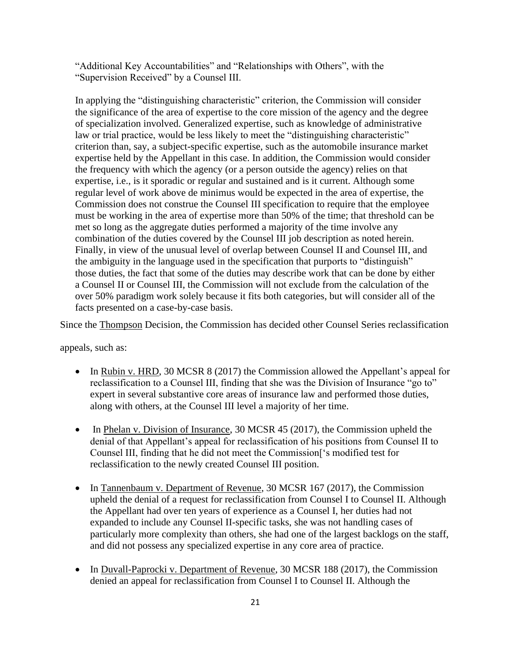"Additional Key Accountabilities" and "Relationships with Others", with the "Supervision Received" by a Counsel III.

In applying the "distinguishing characteristic" criterion, the Commission will consider the significance of the area of expertise to the core mission of the agency and the degree of specialization involved. Generalized expertise, such as knowledge of administrative law or trial practice, would be less likely to meet the "distinguishing characteristic" criterion than, say, a subject-specific expertise, such as the automobile insurance market expertise held by the Appellant in this case. In addition, the Commission would consider the frequency with which the agency (or a person outside the agency) relies on that expertise, i.e., is it sporadic or regular and sustained and is it current. Although some regular level of work above de minimus would be expected in the area of expertise, the Commission does not construe the Counsel III specification to require that the employee must be working in the area of expertise more than 50% of the time; that threshold can be met so long as the aggregate duties performed a majority of the time involve any combination of the duties covered by the Counsel III job description as noted herein. Finally, in view of the unusual level of overlap between Counsel II and Counsel III, and the ambiguity in the language used in the specification that purports to "distinguish" those duties, the fact that some of the duties may describe work that can be done by either a Counsel II or Counsel III, the Commission will not exclude from the calculation of the over 50% paradigm work solely because it fits both categories, but will consider all of the facts presented on a case-by-case basis.

Since the Thompson Decision, the Commission has decided other Counsel Series reclassification

appeals, such as:

- In Rubin v. HRD, 30 MCSR 8 (2017) the Commission allowed the Appellant's appeal for reclassification to a Counsel III, finding that she was the Division of Insurance "go to" expert in several substantive core areas of insurance law and performed those duties, along with others, at the Counsel III level a majority of her time.
- In Phelan v. Division of Insurance, 30 MCSR 45 (2017), the Commission upheld the denial of that Appellant's appeal for reclassification of his positions from Counsel II to Counsel III, finding that he did not meet the Commission['s modified test for reclassification to the newly created Counsel III position.
- In Tannenbaum v. Department of Revenue, 30 MCSR 167 (2017), the Commission upheld the denial of a request for reclassification from Counsel I to Counsel II. Although the Appellant had over ten years of experience as a Counsel I, her duties had not expanded to include any Counsel II-specific tasks, she was not handling cases of particularly more complexity than others, she had one of the largest backlogs on the staff, and did not possess any specialized expertise in any core area of practice.
- In Duvall-Paprocki v. Department of Revenue, 30 MCSR 188 (2017), the Commission denied an appeal for reclassification from Counsel I to Counsel II. Although the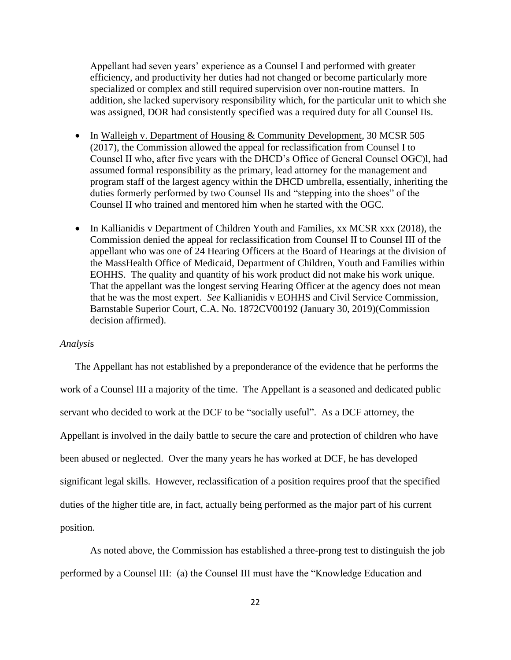Appellant had seven years' experience as a Counsel I and performed with greater efficiency, and productivity her duties had not changed or become particularly more specialized or complex and still required supervision over non-routine matters. In addition, she lacked supervisory responsibility which, for the particular unit to which she was assigned, DOR had consistently specified was a required duty for all Counsel IIs.

- In Walleigh v. Department of Housing & Community Development, 30 MCSR 505 (2017), the Commission allowed the appeal for reclassification from Counsel I to Counsel II who, after five years with the DHCD's Office of General Counsel OGC)l, had assumed formal responsibility as the primary, lead attorney for the management and program staff of the largest agency within the DHCD umbrella, essentially, inheriting the duties formerly performed by two Counsel IIs and "stepping into the shoes" of the Counsel II who trained and mentored him when he started with the OGC.
- In Kallianidis v Department of Children Youth and Families, xx MCSR xxx (2018), the Commission denied the appeal for reclassification from Counsel II to Counsel III of the appellant who was one of 24 Hearing Officers at the Board of Hearings at the division of the MassHealth Office of Medicaid, Department of Children, Youth and Families within EOHHS. The quality and quantity of his work product did not make his work unique. That the appellant was the longest serving Hearing Officer at the agency does not mean that he was the most expert. *See* Kallianidis v EOHHS and Civil Service Commission, Barnstable Superior Court, C.A. No. 1872CV00192 (January 30, 2019)(Commission decision affirmed).

### *Analysi*s

The Appellant has not established by a preponderance of the evidence that he performs the work of a Counsel III a majority of the time. The Appellant is a seasoned and dedicated public servant who decided to work at the DCF to be "socially useful". As a DCF attorney, the Appellant is involved in the daily battle to secure the care and protection of children who have been abused or neglected. Over the many years he has worked at DCF, he has developed significant legal skills. However, reclassification of a position requires proof that the specified duties of the higher title are, in fact, actually being performed as the major part of his current position.

As noted above, the Commission has established a three-prong test to distinguish the job performed by a Counsel III: (a) the Counsel III must have the "Knowledge Education and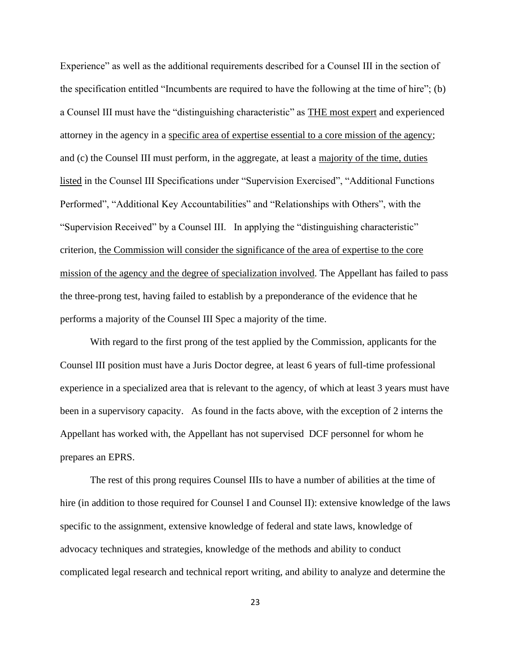Experience" as well as the additional requirements described for a Counsel III in the section of the specification entitled "Incumbents are required to have the following at the time of hire"; (b) a Counsel III must have the "distinguishing characteristic" as THE most expert and experienced attorney in the agency in a specific area of expertise essential to a core mission of the agency; and (c) the Counsel III must perform, in the aggregate, at least a majority of the time, duties listed in the Counsel III Specifications under "Supervision Exercised", "Additional Functions Performed", "Additional Key Accountabilities" and "Relationships with Others", with the "Supervision Received" by a Counsel III. In applying the "distinguishing characteristic" criterion, the Commission will consider the significance of the area of expertise to the core mission of the agency and the degree of specialization involved. The Appellant has failed to pass the three-prong test, having failed to establish by a preponderance of the evidence that he performs a majority of the Counsel III Spec a majority of the time.

With regard to the first prong of the test applied by the Commission, applicants for the Counsel III position must have a Juris Doctor degree, at least 6 years of full-time professional experience in a specialized area that is relevant to the agency, of which at least 3 years must have been in a supervisory capacity. As found in the facts above, with the exception of 2 interns the Appellant has worked with, the Appellant has not supervised DCF personnel for whom he prepares an EPRS.

The rest of this prong requires Counsel IIIs to have a number of abilities at the time of hire (in addition to those required for Counsel I and Counsel II): extensive knowledge of the laws specific to the assignment, extensive knowledge of federal and state laws, knowledge of advocacy techniques and strategies, knowledge of the methods and ability to conduct complicated legal research and technical report writing, and ability to analyze and determine the

23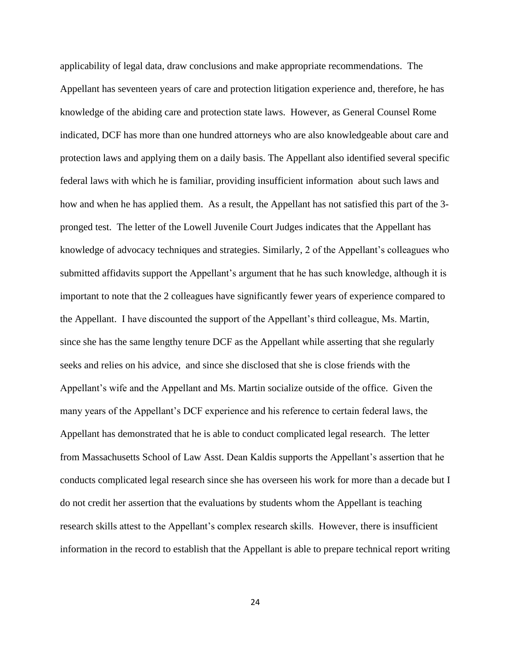applicability of legal data, draw conclusions and make appropriate recommendations. The Appellant has seventeen years of care and protection litigation experience and, therefore, he has knowledge of the abiding care and protection state laws. However, as General Counsel Rome indicated, DCF has more than one hundred attorneys who are also knowledgeable about care and protection laws and applying them on a daily basis. The Appellant also identified several specific federal laws with which he is familiar, providing insufficient information about such laws and how and when he has applied them. As a result, the Appellant has not satisfied this part of the 3 pronged test. The letter of the Lowell Juvenile Court Judges indicates that the Appellant has knowledge of advocacy techniques and strategies. Similarly, 2 of the Appellant's colleagues who submitted affidavits support the Appellant's argument that he has such knowledge, although it is important to note that the 2 colleagues have significantly fewer years of experience compared to the Appellant. I have discounted the support of the Appellant's third colleague, Ms. Martin, since she has the same lengthy tenure DCF as the Appellant while asserting that she regularly seeks and relies on his advice, and since she disclosed that she is close friends with the Appellant's wife and the Appellant and Ms. Martin socialize outside of the office. Given the many years of the Appellant's DCF experience and his reference to certain federal laws, the Appellant has demonstrated that he is able to conduct complicated legal research. The letter from Massachusetts School of Law Asst. Dean Kaldis supports the Appellant's assertion that he conducts complicated legal research since she has overseen his work for more than a decade but I do not credit her assertion that the evaluations by students whom the Appellant is teaching research skills attest to the Appellant's complex research skills. However, there is insufficient information in the record to establish that the Appellant is able to prepare technical report writing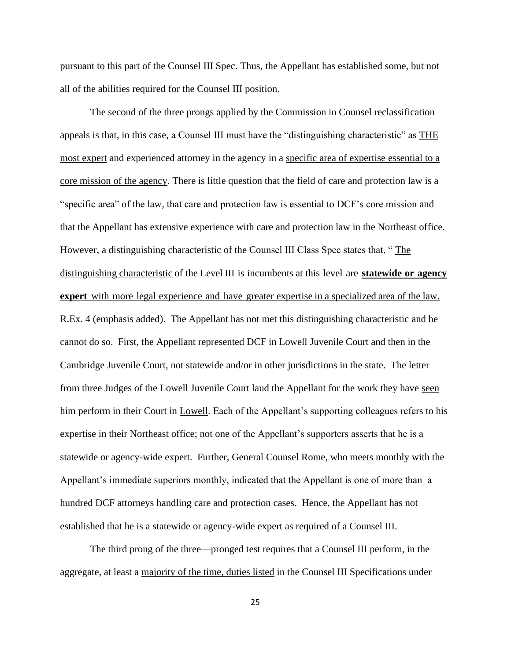pursuant to this part of the Counsel III Spec. Thus, the Appellant has established some, but not all of the abilities required for the Counsel III position.

The second of the three prongs applied by the Commission in Counsel reclassification appeals is that, in this case, a Counsel III must have the "distinguishing characteristic" as THE most expert and experienced attorney in the agency in a specific area of expertise essential to a core mission of the agency. There is little question that the field of care and protection law is a "specific area" of the law, that care and protection law is essential to DCF's core mission and that the Appellant has extensive experience with care and protection law in the Northeast office. However, a distinguishing characteristic of the Counsel III Class Spec states that, " The distinguishing characteristic of the Level III is incumbents at this level are **statewide or agency expert** with more legal experience and have greater expertise in a specialized area of the law. R.Ex. 4 (emphasis added). The Appellant has not met this distinguishing characteristic and he cannot do so. First, the Appellant represented DCF in Lowell Juvenile Court and then in the Cambridge Juvenile Court, not statewide and/or in other jurisdictions in the state. The letter from three Judges of the Lowell Juvenile Court laud the Appellant for the work they have seen him perform in their Court in Lowell. Each of the Appellant's supporting colleagues refers to his expertise in their Northeast office; not one of the Appellant's supporters asserts that he is a statewide or agency-wide expert. Further, General Counsel Rome, who meets monthly with the Appellant's immediate superiors monthly, indicated that the Appellant is one of more than a hundred DCF attorneys handling care and protection cases. Hence, the Appellant has not established that he is a statewide or agency-wide expert as required of a Counsel III.

The third prong of the three—pronged test requires that a Counsel III perform, in the aggregate, at least a majority of the time, duties listed in the Counsel III Specifications under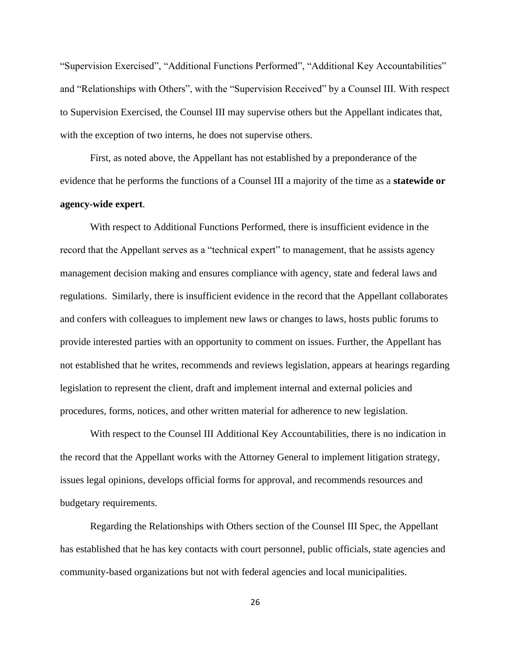"Supervision Exercised", "Additional Functions Performed", "Additional Key Accountabilities" and "Relationships with Others", with the "Supervision Received" by a Counsel III. With respect to Supervision Exercised, the Counsel III may supervise others but the Appellant indicates that, with the exception of two interns, he does not supervise others.

First, as noted above, the Appellant has not established by a preponderance of the evidence that he performs the functions of a Counsel III a majority of the time as a **statewide or agency-wide expert**.

With respect to Additional Functions Performed, there is insufficient evidence in the record that the Appellant serves as a "technical expert" to management, that he assists agency management decision making and ensures compliance with agency, state and federal laws and regulations. Similarly, there is insufficient evidence in the record that the Appellant collaborates and confers with colleagues to implement new laws or changes to laws, hosts public forums to provide interested parties with an opportunity to comment on issues. Further, the Appellant has not established that he writes, recommends and reviews legislation, appears at hearings regarding legislation to represent the client, draft and implement internal and external policies and procedures, forms, notices, and other written material for adherence to new legislation.

With respect to the Counsel III Additional Key Accountabilities, there is no indication in the record that the Appellant works with the Attorney General to implement litigation strategy, issues legal opinions, develops official forms for approval, and recommends resources and budgetary requirements.

Regarding the Relationships with Others section of the Counsel III Spec, the Appellant has established that he has key contacts with court personnel, public officials, state agencies and community-based organizations but not with federal agencies and local municipalities.

26